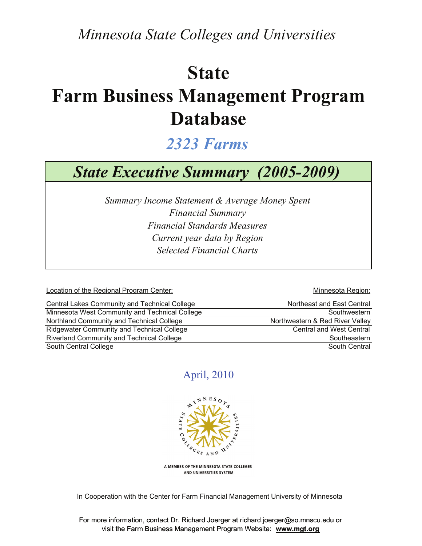*Minnesota State Colleges and Universities*

## **State**

# **Farm Business Management Program Database**

## *2323 Farms*

## *State Executive Summary (2005-2009)*

*Financial Standards Measures Selected Financial Charts Summary Income Statement & Average Money Spent Financial Summary Current year data by Region*

Location of the Regional Program Center: Network and Minnesota Region:

| Central Lakes Community and Technical College  | Northeast and East Central      |
|------------------------------------------------|---------------------------------|
| Minnesota West Community and Technical College | Southwestern                    |
| Northland Community and Technical College      | Northwestern & Red River Valley |
| Ridgewater Community and Technical College     | <b>Central and West Central</b> |
| Riverland Community and Technical College      | Southeastern                    |
| South Central College                          | South Central                   |

#### April, 2010



A MEMBER OF THE MINNESOTA STATE COLLEGES AND UNIVERSITIES SYSTEM

In Cooperation with the Center for Farm Financial Management University of Minnesota

For more information, contact Dr. Richard Joerger at richard.joerger@so.mnscu.edu or visit the Farm Business Management Program Website: **www.mgt.org**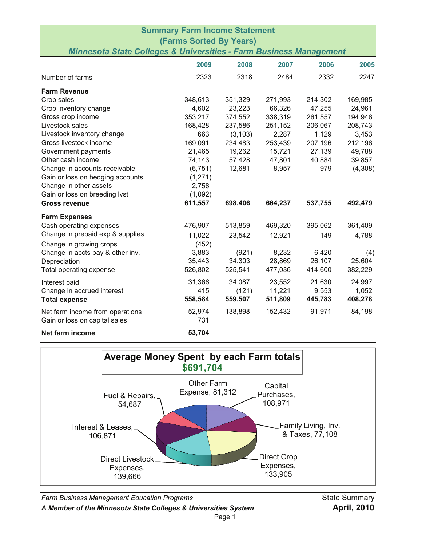|                                                                                                      | <b>Summary Farm Income Statement</b> |          |         |         |         |
|------------------------------------------------------------------------------------------------------|--------------------------------------|----------|---------|---------|---------|
| <b>(Farms Sorted By Years)</b><br>Minnesota State Colleges & Universities - Farm Business Management |                                      |          |         |         |         |
|                                                                                                      | 2009                                 | 2008     | 2007    | 2006    | 2005    |
| Number of farms                                                                                      | 2323                                 | 2318     | 2484    | 2332    | 2247    |
| <b>Farm Revenue</b>                                                                                  |                                      |          |         |         |         |
| Crop sales                                                                                           | 348,613                              | 351,329  | 271,993 | 214,302 | 169,985 |
| Crop inventory change                                                                                | 4,602                                | 23,223   | 66,326  | 47,255  | 24,961  |
| Gross crop income                                                                                    | 353,217                              | 374,552  | 338,319 | 261,557 | 194,946 |
| Livestock sales                                                                                      | 168,428                              | 237,586  | 251,152 | 206,067 | 208,743 |
| Livestock inventory change                                                                           | 663                                  | (3, 103) | 2,287   | 1,129   | 3,453   |
| Gross livestock income                                                                               | 169,091                              | 234,483  | 253,439 | 207,196 | 212,196 |
| Government payments                                                                                  | 21,465                               | 19,262   | 15,721  | 27,139  | 49,788  |
| Other cash income                                                                                    | 74,143                               | 57,428   | 47,801  | 40,884  | 39,857  |
| Change in accounts receivable                                                                        | (6, 751)                             | 12,681   | 8,957   | 979     | (4,308) |
| Gain or loss on hedging accounts                                                                     | (1,271)                              |          |         |         |         |
| Change in other assets                                                                               | 2,756                                |          |         |         |         |
| Gain or loss on breeding lvst                                                                        | (1,092)                              |          |         |         |         |
| <b>Gross revenue</b>                                                                                 | 611,557                              | 698,406  | 664,237 | 537,755 | 492,479 |
| <b>Farm Expenses</b>                                                                                 |                                      |          |         |         |         |
| Cash operating expenses                                                                              | 476,907                              | 513,859  | 469,320 | 395,062 | 361,409 |
| Change in prepaid exp & supplies                                                                     | 11,022                               | 23,542   | 12,921  | 149     | 4,788   |
| Change in growing crops                                                                              | (452)                                |          |         |         |         |
| Change in accts pay & other inv.                                                                     | 3,883                                | (921)    | 8,232   | 6,420   | (4)     |
| Depreciation                                                                                         | 35,443                               | 34,303   | 28,869  | 26,107  | 25,604  |
| Total operating expense                                                                              | 526,802                              | 525,541  | 477,036 | 414,600 | 382,229 |
| Interest paid                                                                                        | 31,366                               | 34,087   | 23,552  | 21,630  | 24,997  |
| Change in accrued interest                                                                           | 415                                  | (121)    | 11,221  | 9,553   | 1,052   |
| <b>Total expense</b>                                                                                 | 558,584                              | 559,507  | 511,809 | 445,783 | 408,278 |
| Net farm income from operations                                                                      | 52,974                               | 138,898  | 152,432 | 91,971  | 84,198  |
| Gain or loss on capital sales                                                                        | 731                                  |          |         |         |         |
| Net farm income                                                                                      | 53,704                               |          |         |         |         |



Farm Business Management Education Programs **State Summary** State Summary *A Member of the Minnesota State Colleges & Universities System* **April, 2010**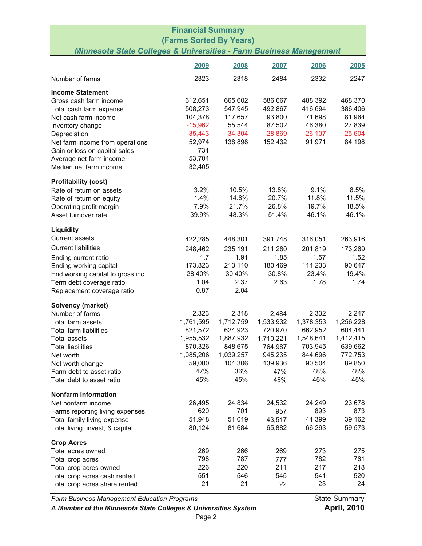| <b>Financial Summary</b>                                                             |           |           |           |           |           |
|--------------------------------------------------------------------------------------|-----------|-----------|-----------|-----------|-----------|
| <b>(Farms Sorted By Years)</b>                                                       |           |           |           |           |           |
| <b>Minnesota State Colleges &amp; Universities - Farm Business Management</b>        |           |           |           |           |           |
|                                                                                      | 2009      | 2008      | 2007      | 2006      | 2005      |
| Number of farms                                                                      | 2323      | 2318      | 2484      | 2332      | 2247      |
| <b>Income Statement</b>                                                              |           |           |           |           |           |
| Gross cash farm income                                                               | 612,651   | 665,602   | 586,667   | 488,392   | 468,370   |
| Total cash farm expense                                                              | 508,273   | 547,945   | 492,867   | 416,694   | 386,406   |
| Net cash farm income                                                                 | 104,378   | 117,657   | 93,800    | 71,698    | 81,964    |
| Inventory change                                                                     | $-15,962$ | 55,544    | 87,502    | 46,380    | 27,839    |
| Depreciation                                                                         | $-35,443$ | $-34,304$ | $-28,869$ | $-26,107$ | $-25,604$ |
| Net farm income from operations                                                      | 52,974    | 138,898   | 152,432   | 91,971    | 84,198    |
| Gain or loss on capital sales                                                        | 731       |           |           |           |           |
| Average net farm income                                                              | 53,704    |           |           |           |           |
| Median net farm income                                                               | 32,405    |           |           |           |           |
| <b>Profitability (cost)</b>                                                          |           |           |           |           |           |
| Rate of return on assets                                                             | 3.2%      | 10.5%     | 13.8%     | 9.1%      | 8.5%      |
| Rate of return on equity                                                             | 1.4%      | 14.6%     | 20.7%     | 11.8%     | 11.5%     |
| Operating profit margin                                                              | 7.9%      | 21.7%     | 26.8%     | 19.7%     | 18.5%     |
| Asset turnover rate                                                                  | 39.9%     | 48.3%     | 51.4%     | 46.1%     | 46.1%     |
| Liquidity                                                                            |           |           |           |           |           |
| <b>Current assets</b>                                                                | 422,285   | 448,301   | 391,748   | 316,051   | 263,916   |
| <b>Current liabilities</b>                                                           | 248,462   | 235,191   | 211,280   | 201,819   | 173,269   |
| Ending current ratio                                                                 | 1.7       | 1.91      | 1.85      | 1.57      | 1.52      |
| Ending working capital                                                               | 173,823   | 213,110   | 180,469   | 114,233   | 90,647    |
| End working capital to gross inc                                                     | 28.40%    | 30.40%    | 30.8%     | 23.4%     | 19.4%     |
| Term debt coverage ratio                                                             | 1.04      | 2.37      | 2.63      | 1.78      | 1.74      |
| Replacement coverage ratio                                                           | 0.87      | 2.04      |           |           |           |
| Solvency (market)                                                                    |           |           |           |           |           |
| Number of farms                                                                      | 2,323     | 2,318     | 2,484     | 2,332     | 2,247     |
| Total farm assets                                                                    | 1,761,595 | 1,712,759 | 1,533,932 | 1,378,353 | 1,256,228 |
| Total farm liabilities                                                               | 821,572   | 624,923   | 720,970   | 662,952   | 604,441   |
| <b>Total assets</b>                                                                  | 1,955,532 | 1,887,932 | 1,710,221 | 1,548,641 | 1,412,415 |
| <b>Total liabilities</b>                                                             | 870,326   | 848,675   | 764,987   | 703,945   | 639,662   |
| Net worth                                                                            | 1,085,206 | 1,039,257 | 945,235   | 844,696   | 772,753   |
| Net worth change                                                                     | 59,000    | 104,306   | 139,936   | 90,504    | 89,850    |
| Farm debt to asset ratio                                                             | 47%       | 36%       | 47%       | 48%       | 48%       |
| Total debt to asset ratio                                                            | 45%       | 45%       | 45%       | 45%       | 45%       |
| <b>Nonfarm Information</b>                                                           |           |           |           |           |           |
| Net nonfarm income                                                                   | 26,495    | 24,834    | 24,532    | 24,249    | 23,678    |
| Farms reporting living expenses                                                      | 620       | 701       | 957       | 893       | 873       |
| Total family living expense                                                          | 51,948    | 51,019    | 43,517    | 41,399    | 39,162    |
| Total living, invest, & capital                                                      | 80,124    | 81,684    | 65,882    | 66,293    | 59,573    |
| <b>Crop Acres</b>                                                                    |           |           |           |           |           |
| Total acres owned                                                                    | 269       | 266       | 269       | 273       | 275       |
| Total crop acres                                                                     | 798       | 787       | 777       | 782       | 761       |
| Total crop acres owned                                                               | 226       | 220       | 211       | 217       | 218       |
| Total crop acres cash rented                                                         | 551       | 546       | 545       | 541       | 520       |
| Total crop acres share rented                                                        | 21        | 21        | 22        | 23        | 24        |
| <b>State Summary</b><br><b>Farm Business Management Education Programs</b>           |           |           |           |           |           |
| <b>April, 2010</b><br>A Member of the Minnesota State Colleges & Universities System |           |           |           |           |           |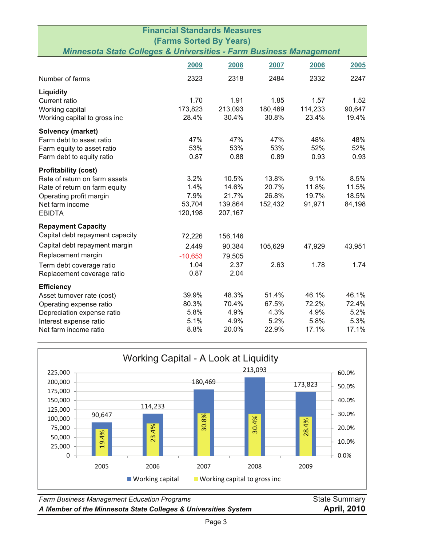|                                                                                                                 | <b>Financial Standards Measures</b> |         |         |         |        |
|-----------------------------------------------------------------------------------------------------------------|-------------------------------------|---------|---------|---------|--------|
| <b>(Farms Sorted By Years)</b><br><b>Minnesota State Colleges &amp; Universities - Farm Business Management</b> |                                     |         |         |         |        |
|                                                                                                                 |                                     |         |         |         |        |
|                                                                                                                 | 2009                                | 2008    | 2007    | 2006    | 2005   |
| Number of farms                                                                                                 | 2323                                | 2318    | 2484    | 2332    | 2247   |
| Liquidity                                                                                                       |                                     |         |         |         |        |
| Current ratio                                                                                                   | 1.70                                | 1.91    | 1.85    | 1.57    | 1.52   |
| Working capital                                                                                                 | 173,823                             | 213,093 | 180,469 | 114,233 | 90,647 |
| Working capital to gross inc                                                                                    | 28.4%                               | 30.4%   | 30.8%   | 23.4%   | 19.4%  |
| <b>Solvency (market)</b>                                                                                        |                                     |         |         |         |        |
| Farm debt to asset ratio                                                                                        | 47%                                 | 47%     | 47%     | 48%     | 48%    |
| Farm equity to asset ratio                                                                                      | 53%                                 | 53%     | 53%     | 52%     | 52%    |
| Farm debt to equity ratio                                                                                       | 0.87                                | 0.88    | 0.89    | 0.93    | 0.93   |
| <b>Profitability (cost)</b>                                                                                     |                                     |         |         |         |        |
| Rate of return on farm assets                                                                                   | 3.2%                                | 10.5%   | 13.8%   | 9.1%    | 8.5%   |
| Rate of return on farm equity                                                                                   | 1.4%                                | 14.6%   | 20.7%   | 11.8%   | 11.5%  |
| Operating profit margin                                                                                         | 7.9%                                | 21.7%   | 26.8%   | 19.7%   | 18.5%  |
| Net farm income                                                                                                 | 53,704                              | 139,864 | 152,432 | 91,971  | 84,198 |
| <b>EBIDTA</b>                                                                                                   | 120,198                             | 207,167 |         |         |        |
| <b>Repayment Capacity</b>                                                                                       |                                     |         |         |         |        |
| Capital debt repayment capacity                                                                                 | 72,226                              | 156,146 |         |         |        |
| Capital debt repayment margin                                                                                   | 2,449                               | 90,384  | 105,629 | 47,929  | 43,951 |
| Replacement margin                                                                                              | $-10,653$                           | 79,505  |         |         |        |
| Term debt coverage ratio                                                                                        | 1.04                                | 2.37    | 2.63    | 1.78    | 1.74   |
| Replacement coverage ratio                                                                                      | 0.87                                | 2.04    |         |         |        |
| <b>Efficiency</b>                                                                                               |                                     |         |         |         |        |
| Asset turnover rate (cost)                                                                                      | 39.9%                               | 48.3%   | 51.4%   | 46.1%   | 46.1%  |
| Operating expense ratio                                                                                         | 80.3%                               | 70.4%   | 67.5%   | 72.2%   | 72.4%  |
| Depreciation expense ratio                                                                                      | 5.8%                                | 4.9%    | 4.3%    | 4.9%    | 5.2%   |
| Interest expense ratio                                                                                          | 5.1%                                | 4.9%    | 5.2%    | 5.8%    | 5.3%   |
| Net farm income ratio                                                                                           | 8.8%                                | 20.0%   | 22.9%   | 17.1%   | 17.1%  |



**Farm Business Management Education Programs** State Summary State Summary *A Member of the Minnesota State Colleges & Universities System* **April, 2010**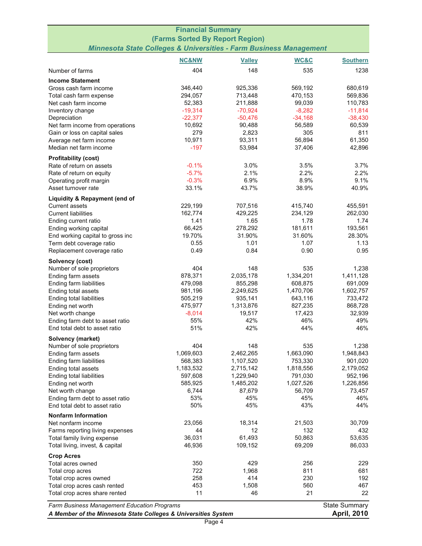| <b>Financial Summary</b>                       |                                                                               |                      |                      |                      |  |  |
|------------------------------------------------|-------------------------------------------------------------------------------|----------------------|----------------------|----------------------|--|--|
| (Farms Sorted By Report Region)                |                                                                               |                      |                      |                      |  |  |
|                                                | <b>Minnesota State Colleges &amp; Universities - Farm Business Management</b> |                      |                      |                      |  |  |
|                                                | <b>NC&amp;NW</b>                                                              | <b>Valley</b>        | WC&C                 | <b>Southern</b>      |  |  |
| Number of farms                                | 404                                                                           | 148                  | 535                  | 1238                 |  |  |
| <b>Income Statement</b>                        |                                                                               |                      |                      |                      |  |  |
| Gross cash farm income                         | 346,440                                                                       | 925,336              | 569,192              | 680,619              |  |  |
| Total cash farm expense                        | 294,057                                                                       | 713,448              | 470,153              | 569,836              |  |  |
| Net cash farm income                           | 52,383                                                                        | 211,888              | 99,039               | 110,783              |  |  |
| Inventory change                               | $-19,314$                                                                     | $-70,924$            | $-8,282$             | $-11,814$            |  |  |
| Depreciation                                   | $-22,377$                                                                     | $-50,476$            | $-34,168$            | $-38,430$            |  |  |
| Net farm income from operations                | 10,692                                                                        | 90,488               | 56,589               | 60,539               |  |  |
| Gain or loss on capital sales                  | 279                                                                           | 2,823                | 305                  | 811                  |  |  |
| Average net farm income                        | 10,971                                                                        | 93,311               | 56,894               | 61,350               |  |  |
| Median net farm income                         | $-197$                                                                        | 53,984               | 37,406               | 42,896               |  |  |
| <b>Profitability (cost)</b>                    |                                                                               |                      |                      |                      |  |  |
| Rate of return on assets                       | $-0.1%$                                                                       | 3.0%                 | 3.5%                 | 3.7%                 |  |  |
| Rate of return on equity                       | $-5.7%$                                                                       | 2.1%                 | 2.2%                 | 2.2%                 |  |  |
| Operating profit margin                        | $-0.3%$                                                                       | 6.9%                 | 8.9%                 | 9.1%                 |  |  |
| Asset turnover rate                            | 33.1%                                                                         | 43.7%                | 38.9%                | 40.9%                |  |  |
| Liquidity & Repayment (end of                  |                                                                               |                      |                      |                      |  |  |
| <b>Current assets</b>                          | 229,199                                                                       | 707,516              | 415,740              | 455,591              |  |  |
| <b>Current liabilities</b>                     | 162,774                                                                       | 429,225              | 234,129              | 262,030              |  |  |
| Ending current ratio                           | 1.41                                                                          | 1.65                 | 1.78                 | 1.74                 |  |  |
| Ending working capital                         | 66,425                                                                        | 278,292              | 181,611              | 193,561              |  |  |
| End working capital to gross inc               | 19.70%                                                                        | 31.90%               | 31.60%               | 28.30%               |  |  |
| Term debt coverage ratio                       | 0.55<br>0.49                                                                  | 1.01<br>0.84         | 1.07<br>0.90         | 1.13<br>0.95         |  |  |
| Replacement coverage ratio                     |                                                                               |                      |                      |                      |  |  |
| Solvency (cost)                                |                                                                               |                      |                      |                      |  |  |
| Number of sole proprietors                     | 404                                                                           | 148                  | 535                  | 1,238                |  |  |
| Ending farm assets                             | 878,371<br>479,098                                                            | 2,035,178<br>855,298 | 1,334,201<br>608,875 | 1,411,128<br>691,009 |  |  |
| Ending farm liabilities<br>Ending total assets | 981,196                                                                       | 2,249,625            | 1,470,706            | 1,602,757            |  |  |
| Ending total liabilities                       | 505,219                                                                       | 935,141              | 643,116              | 733,472              |  |  |
| Ending net worth                               | 475,977                                                                       | 1,313,876            | 827,235              | 868,728              |  |  |
| Net worth change                               | $-8,014$                                                                      | 19,517               | 17,423               | 32,939               |  |  |
| Ending farm debt to asset ratio                | 55%                                                                           | 42%                  | 46%                  | 49%                  |  |  |
| End total debt to asset ratio                  | 51%                                                                           | 42%                  | 44%                  | 46%                  |  |  |
| Solvency (market)                              |                                                                               |                      |                      |                      |  |  |
| Number of sole proprietors                     | 404                                                                           | 148                  | 535                  | 1,238                |  |  |
| Ending farm assets                             | 1,069,603                                                                     | 2,462,265            | 1,663,090            | 1,948,843            |  |  |
| Ending farm liabilities                        | 568,383                                                                       | 1,107,520            | 753,330              | 901,020              |  |  |
| Ending total assets                            | 1,183,532                                                                     | 2,715,142            | 1,818,556            | 2,179,052            |  |  |
| Ending total liabilities                       | 597,608                                                                       | 1,229,940            | 791,030              | 952,196              |  |  |
| Ending net worth                               | 585,925                                                                       | 1,485,202            | 1,027,526            | 1,226,856            |  |  |
| Net worth change                               | 6,744                                                                         | 87,679               | 56,709               | 73,457               |  |  |
| Ending farm debt to asset ratio                | 53%                                                                           | 45%                  | 45%                  | 46%                  |  |  |
| End total debt to asset ratio                  | 50%                                                                           | 45%                  | 43%                  | 44%                  |  |  |
| <b>Nonfarm Information</b>                     |                                                                               |                      |                      |                      |  |  |
| Net nonfarm income                             | 23,056                                                                        | 18,314               | 21,503               | 30,709               |  |  |
| Farms reporting living expenses                | 44                                                                            | 12                   | 132                  | 432                  |  |  |
| Total family living expense                    | 36,031                                                                        | 61,493               | 50,863               | 53,635               |  |  |
| Total living, invest, & capital                | 46,936                                                                        | 109,152              | 69,209               | 86,033               |  |  |
| <b>Crop Acres</b>                              |                                                                               |                      |                      |                      |  |  |
| Total acres owned                              | 350                                                                           | 429                  | 256                  | 229                  |  |  |
| Total crop acres                               | 722                                                                           | 1,968                | 811                  | 681                  |  |  |
| Total crop acres owned                         | 258<br>453                                                                    | 414                  | 230                  | 192                  |  |  |
| Total crop acres cash rented                   | 11                                                                            | 1,508<br>46          | 560<br>21            | 467<br>22            |  |  |
| Total crop acres share rented                  |                                                                               |                      |                      |                      |  |  |
| Farm Business Management Education Programs    |                                                                               |                      |                      | <b>State Summary</b> |  |  |

*A Member of the Minnesota State Colleges & Universities System* **April, 2010**